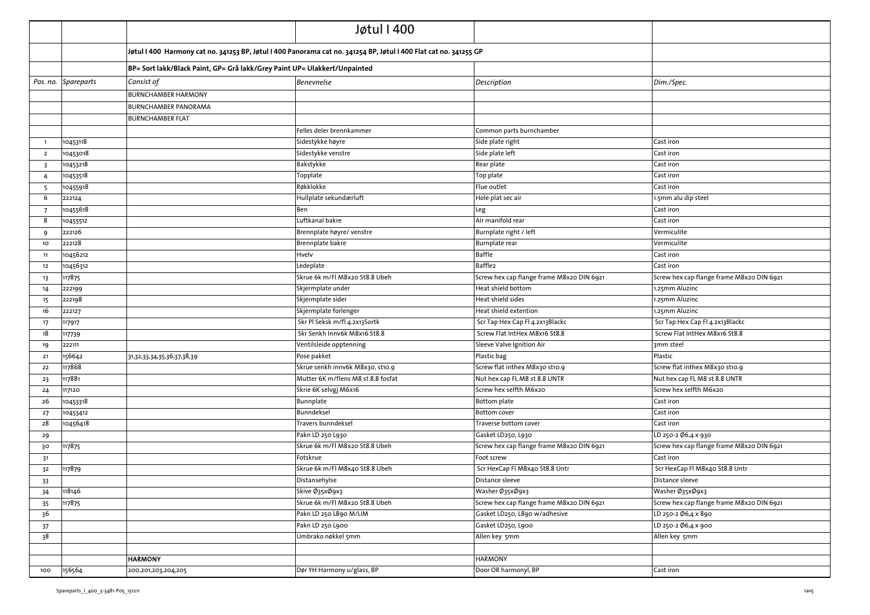|                         |                     |                                                                                                                   | Jøtul I 400                        |                                           |                                           |
|-------------------------|---------------------|-------------------------------------------------------------------------------------------------------------------|------------------------------------|-------------------------------------------|-------------------------------------------|
|                         |                     | Jøtul I 400 Harmony cat no. 341253 BP, Jøtul I 400 Panorama cat no. 341254 BP, Jøtul I 400 Flat cat no. 341255 GP |                                    |                                           |                                           |
|                         |                     | BP= Sort lakk/Black Paint, GP= Grå lakk/Grey Paint UP= Ulakkert/Unpainted                                         |                                    |                                           |                                           |
|                         | Pos. no. Spareparts | Consist of                                                                                                        | <b>Benevnelse</b>                  | Description                               | Dim./Spec.                                |
|                         |                     | <b>BURNCHAMBER HARMONY</b>                                                                                        |                                    |                                           |                                           |
|                         |                     | <b>BURNCHAMBER PANORAMA</b>                                                                                       |                                    |                                           |                                           |
|                         |                     | <b>BURNCHAMBER FLAT</b>                                                                                           |                                    |                                           |                                           |
|                         |                     |                                                                                                                   | Felles deler brennkammer           | Common parts burnchamber                  |                                           |
| $\overline{1}$          | 10453118            |                                                                                                                   | Sidestykke høyre                   | Side plate right                          | Cast iron                                 |
| $\overline{2}$          | 10453018            |                                                                                                                   | Sidestykke venstre                 | Side plate left                           | Cast iron                                 |
| $\overline{\mathbf{3}}$ | 10453218            |                                                                                                                   | Bakstykke                          | Rear plate                                | Cast iron                                 |
| $\overline{4}$          | 10453518            |                                                                                                                   | Topplate                           | Top plate                                 | Cast iron                                 |
| -5                      | 10455918            |                                                                                                                   | Røkklokke                          | Flue outlet                               | Cast iron                                 |
| 6                       | 222124              |                                                                                                                   | Hullplate sekundærluft             | Hole plat sec air                         | 1.5mm alu dip steel                       |
| -7                      | 10455618            |                                                                                                                   | Ben                                | Leg                                       | Cast iron                                 |
| -8                      | 10455512            |                                                                                                                   | Luftkanal bakre                    | Air manifold rear                         | Cast iron                                 |
| 9                       | 222126              |                                                                                                                   | Brennplate høyre/ venstre          | Burnplate right / left                    | Vermiculite                               |
| 10 <sub>o</sub>         | 222128              |                                                                                                                   | Brennplate bakre                   | <b>Burnplate rear</b>                     | Vermiculite                               |
| 11                      | 10456212            |                                                                                                                   | Hvelv                              | Baffle                                    | Cast iron                                 |
| 12                      | 10456312            |                                                                                                                   | Ledeplate                          | Baffle2                                   | Cast iron                                 |
| 13                      | 117875              |                                                                                                                   | Skrue 6k m/Fl M8x20 St8.8 Ubeh     | Screw hex cap flange frame M8x20 DIN 6921 | Screw hex cap flange frame M8x20 DIN 6921 |
| 14                      | 222199              |                                                                                                                   | Skjermplate under                  | Heat shield bottom                        | 1.25mm Aluzinc                            |
| 15                      | 222198              |                                                                                                                   | Skjermplate sider                  | Heat shield sides                         | 1.25mm Aluzinc                            |
| 16                      | 222127              |                                                                                                                   | Skjermplate forlenger              | Heat shield extention                     | 1.25mm Aluzinc                            |
| 17                      | 117917              |                                                                                                                   | Skr Pl Seksk m/fl 4.2x13Sortk      | Scr Tap Hex Cap Fl 4.2x13Blackc           | Scr Tap Hex Cap Fl 4.2x13Blackc           |
| 18                      | 117739              |                                                                                                                   | Skr Senkh Innv6k M8x16 St8.8       | Screw Flat IntHex M8x16 St8.8             | Screw Flat IntHex M8x16 St8.8             |
| 19                      | 222111              |                                                                                                                   | Ventilsleide opptenning            | Sleeve Valve Ignition Air                 | 3mm steel                                 |
| 21                      | 156642              | 31,32,33,34,35,36,37,38,39                                                                                        | Pose pakket                        | Plastic bag                               | Plastic                                   |
| 22                      | 117868              |                                                                                                                   | Skrue senkh innv6k M8x30, st10.9   | Screw flat inthex M8x30 st10.9            | Screw flat inthex M8x30 st10.9            |
| 23                      | 117881              |                                                                                                                   | Mutter 6K m/flens M8 st 8.8 fosfat | Nut hex cap FL M8 st 8.8 UNTR             | Nut hex cap FL M8 st 8.8 UNTR             |
| 24                      | 117120              |                                                                                                                   | Skrie 6K selvgj M6x16              | Screw hex selfth M6x20                    | Screw hex selfth M6x20                    |
| 26                      | 10453318            |                                                                                                                   | Bunnplate                          | Bottom plate                              | Cast iron                                 |
| 27                      | 10453412            |                                                                                                                   | Bunndeksel                         | <b>Bottom</b> cover                       | Cast iron                                 |
| 28                      | 10456418            |                                                                                                                   | Travers bunndeksel                 | Traverse bottom cover                     | Cast iron                                 |
| 29                      |                     |                                                                                                                   | Pakn LD 250 L930                   | Gasket LD250, L930                        | LD 250-2 Ø6,4 x 930                       |
| 30                      | 117875              |                                                                                                                   | Skrue 6k m/Fl M8x20 St8.8 Ubeh     | Screw hex cap flange frame M8x20 DIN 6921 | Screw hex cap flange frame M8x20 DIN 6921 |
| 31                      |                     |                                                                                                                   | Fotskrue                           | Foot screw                                | Cast iron                                 |
| 32                      | 117879              |                                                                                                                   | Skrue 6k m/Fl M8x40 St8.8 Ubeh     | Scr HexCap Fl M8x40 St8.8 Untr            | Scr HexCap Fl M8x40 St8.8 Untr            |
| 33                      |                     |                                                                                                                   | Distansehylse                      | Distance sleeve                           | Distance sleeve                           |
| 34                      | 118146              |                                                                                                                   | Skive Ø35xØ9x3                     | Washer Ø35xØ9x3                           | Washer Ø35xØ9x3                           |
| 35                      | 117875              |                                                                                                                   | Skrue 6k m/Fl M8x20 St8.8 Ubeh     | Screw hex cap flange frame M8x20 DIN 6921 | Screw hex cap flange frame M8x20 DIN 6921 |
| 36                      |                     |                                                                                                                   | Pakn LD 250 L890 M/LIM             | Gasket LD250, L890 w/adhesive             | LD 250-2 Ø6,4 x 890                       |
| 37                      |                     |                                                                                                                   | Pakn LD 250 L900                   | Gasket LD250, L900                        | LD 250-2 Ø6,4 x 900                       |
| 38                      |                     |                                                                                                                   | Umbrako nøkkel 5mm                 | Allen key 5mm                             | Allen key 5mm                             |
|                         |                     |                                                                                                                   |                                    |                                           |                                           |
|                         |                     | <b>HARMONY</b>                                                                                                    |                                    | <b>HARMONY</b>                            |                                           |
| 100                     | 156564              | 200,201,203,204,205                                                                                               | Dør YH Harmony u/glass, BP         | Door OR harmonyl, BP                      | Cast iron                                 |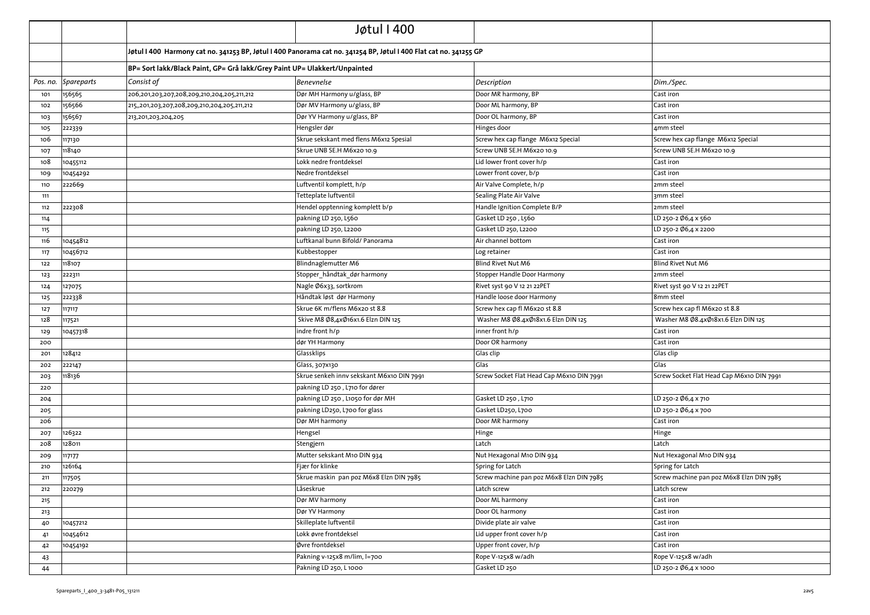|     |                     |                                                                           | Jøtul I 400                                                                                                       |                                           |                                           |
|-----|---------------------|---------------------------------------------------------------------------|-------------------------------------------------------------------------------------------------------------------|-------------------------------------------|-------------------------------------------|
|     |                     |                                                                           | Jøtul I 400 Harmony cat no. 341253 BP, Jøtul I 400 Panorama cat no. 341254 BP, Jøtul I 400 Flat cat no. 341255 GP |                                           |                                           |
|     |                     | BP= Sort lakk/Black Paint, GP= Grå lakk/Grey Paint UP= Ulakkert/Unpainted |                                                                                                                   |                                           |                                           |
|     | Pos. no. Spareparts | Consist of                                                                | <b>Benevnelse</b>                                                                                                 | Description                               | Dim./Spec.                                |
| 101 | 156565              | 206,201,203,207,208,209,210,204,205,211,212                               | Dør MH Harmony u/glass, BP                                                                                        | Door MR harmony, BP                       | Cast iron                                 |
| 102 | 156566              | 215,,201,203,207,208,209,210,204,205,211,212                              | Dør MV Harmony u/glass, BP                                                                                        | Door ML harmony, BP                       | Cast iron                                 |
| 103 | 156567              | 213,201,203,204,205                                                       | Dør YV Harmony u/glass, BP                                                                                        | Door OL harmony, BP                       | Cast iron                                 |
| 105 | 222339              |                                                                           | Hengsler dør                                                                                                      | Hinges door                               | 4mm steel                                 |
| 106 | 117130              |                                                                           | Skrue sekskant med flens M6x12 Spesial                                                                            | Screw hex cap flange M6x12 Special        | Screw hex cap flange M6x12 Special        |
| 107 | 118140              |                                                                           | Skrue UNB SE.H M6x20 10.9                                                                                         | Screw UNB SE.H M6x20 10.9                 | Screw UNB SE.H M6x20 10.9                 |
| 108 | 10455112            |                                                                           | Lokk nedre frontdeksel                                                                                            | Lid lower front cover h/p                 | Cast iron                                 |
| 109 | 10454292            |                                                                           | Nedre frontdeksel                                                                                                 | Lower front cover, b/p                    | Cast iron                                 |
| 110 | 222669              |                                                                           | Luftventil komplett, h/p                                                                                          | Air Valve Complete, h/p                   | 2mm steel                                 |
| 111 |                     |                                                                           | Tetteplate luftventil                                                                                             | Sealing Plate Air Valve                   | 3mm steel                                 |
| 112 | 222308              |                                                                           | Hendel opptenning komplett b/p                                                                                    | Handle Ignition Complete B/P              | 2mm steel                                 |
| 114 |                     |                                                                           | pakning LD 250, L560                                                                                              | Gasket LD 250, L560                       | LD 250-2 Ø6,4 x 560                       |
| 115 |                     |                                                                           | pakning LD 250, L2200                                                                                             | Gasket LD 250, L2200                      | LD 250-2 Ø6,4 x 2200                      |
| 116 | 10454812            |                                                                           | Luftkanal bunn Bifold/ Panorama                                                                                   | Air channel bottom                        | Cast iron                                 |
| 117 | 10456712            |                                                                           | Kubbestopper                                                                                                      | Log retainer                              | Cast iron                                 |
| 122 | 118107              |                                                                           | Blindnaglemutter M6                                                                                               | <b>Blind Rivet Nut M6</b>                 | <b>Blind Rivet Nut M6</b>                 |
| 123 | 222311              |                                                                           | Stopper håndtak dør harmony                                                                                       | Stopper Handle Door Harmony               | 2mm steel                                 |
| 124 | 127075              |                                                                           | Nagle Ø6x33, sortkrom                                                                                             | Rivet syst 90 V 12 21 22PET               | Rivet syst 90 V 12 21 22PET               |
| 125 | 222338              |                                                                           | Håndtak løst dør Harmony                                                                                          | Handle loose door Harmony                 | 8mm steel                                 |
| 127 | 117117              |                                                                           | Skrue 6K m/flens M6x20 st 8.8                                                                                     | Screw hex cap fl M6x20 st 8.8             | Screw hex cap fl M6x20 st 8.8             |
| 128 | 117521              |                                                                           | Skive M8 Ø8,4xØ16x1.6 Elzn DIN 125                                                                                | Washer M8 Ø8.4xØ18x1.6 Elzn DIN 125       | Washer M8 Ø8.4xØ18x1.6 Elzn DIN 125       |
| 129 | 10457318            |                                                                           | indre front h/p                                                                                                   | inner front h/p                           | Cast iron                                 |
| 200 |                     |                                                                           | dør YH Harmony                                                                                                    | Door OR harmony                           | Cast iron                                 |
| 201 | 128412              |                                                                           | Glassklips                                                                                                        | Glas clip                                 | Glas clip                                 |
| 202 | 222147              |                                                                           | Glass, 307x130                                                                                                    | Glas                                      | Glas                                      |
| 203 | 118136              |                                                                           | Skrue senkeh innv sekskant M6x10 DIN 7991                                                                         | Screw Socket Flat Head Cap M6x10 DIN 7991 | Screw Socket Flat Head Cap M6x10 DIN 7991 |
| 220 |                     |                                                                           | pakning LD 250, L710 for dører                                                                                    |                                           |                                           |
| 204 |                     |                                                                           | pakning LD 250, L1050 for dør MH                                                                                  | Gasket LD 250, L710                       | LD 250-2 Ø6,4 x 710                       |
| 205 |                     |                                                                           | pakning LD250, L700 for glass                                                                                     | Gasket LD250, L700                        | LD 250-2 Ø6,4 x 700                       |
| 206 |                     |                                                                           | Dør MH harmony                                                                                                    | Door MR harmony                           | Cast iron                                 |
| 207 | 126322              |                                                                           | Hengsel                                                                                                           | Hinge                                     | Hinge                                     |
| 208 | 128011              |                                                                           | Stengjern                                                                                                         | Latch                                     | Latch                                     |
| 209 | 117177              |                                                                           | Mutter sekskant M10 DIN 934                                                                                       | Nut Hexagonal M10 DIN 934                 | Nut Hexagonal M10 DIN 934                 |
| 210 | 126164              |                                                                           | Fjær for klinke                                                                                                   | Spring for Latch                          | Spring for Latch                          |
| 211 | 117505              |                                                                           | Skrue maskin pan poz M6x8 Elzn DIN 7985                                                                           | Screw machine pan poz M6x8 Elzn DIN 7985  | Screw machine pan poz M6x8 Elzn DIN 7985  |
| 212 | 220279              |                                                                           | Låseskrue                                                                                                         | Latch screw                               | Latch screw                               |
| 215 |                     |                                                                           | Dør MV harmony                                                                                                    | Door ML harmony                           | Cast iron                                 |
| 213 |                     |                                                                           | Dør YV Harmony                                                                                                    | Door OL harmony                           | Cast iron                                 |
| 40  | 10457212            |                                                                           | Skilleplate luftventil                                                                                            | Divide plate air valve                    | Cast iron                                 |
| 41  | 10454612            |                                                                           | Lokk øvre frontdeksel                                                                                             | Lid upper front cover h/p                 | Cast iron                                 |
| 42  | 10454192            |                                                                           | Øvre frontdeksel                                                                                                  | Upper front cover, h/p                    | Cast iron                                 |
| 43  |                     |                                                                           | Pakning v-125x8 m/lim, l=700                                                                                      | Rope V-125x8 w/adh                        | Rope V-125x8 w/adh                        |
| 44  |                     |                                                                           | Pakning LD 250, L 1000                                                                                            | Gasket LD 250                             | LD 250-2 Ø6,4 x 1000                      |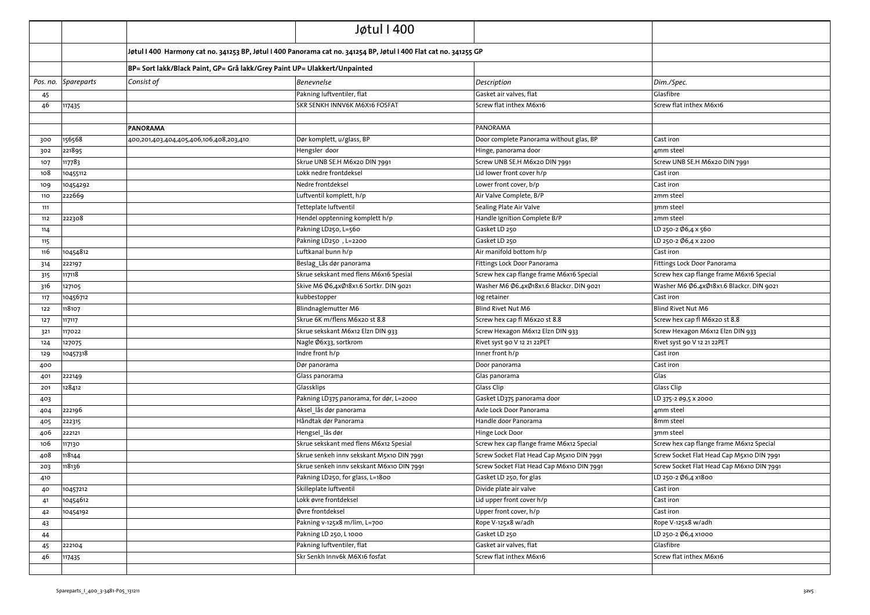|     |                     |                                                                                                                    | Jøtul I 400                               |                                           |                                           |
|-----|---------------------|--------------------------------------------------------------------------------------------------------------------|-------------------------------------------|-------------------------------------------|-------------------------------------------|
|     |                     | Jøtul I 400  Harmony cat no. 341253 BP, Jøtul I 400 Panorama cat no. 341254 BP, Jøtul I 400 Flat cat no. 341255 GP |                                           |                                           |                                           |
|     |                     | BP= Sort lakk/Black Paint, GP= Grå lakk/Grey Paint UP= Ulakkert/Unpainted                                          |                                           |                                           |                                           |
|     | Pos. no. Spareparts | Consist of                                                                                                         | <b>Benevnelse</b>                         | Description                               | Dim./Spec.                                |
| 45  |                     |                                                                                                                    | Pakning luftventiler, flat                | Gasket air valves, flat                   | Glasfibre                                 |
| 46  | 117435              |                                                                                                                    | SKR SENKH INNV6K M6X16 FOSFAT             | Screw flat inthex M6x16                   | Screw flat inthex M6x16                   |
|     |                     |                                                                                                                    |                                           |                                           |                                           |
|     |                     | <b>PANORAMA</b>                                                                                                    |                                           | PANORAMA                                  |                                           |
| 300 | 156568              | 400,201,403,404,405,406,106,408,203,410                                                                            | Dør komplett, u/glass, BP                 | Door complete Panorama without glas, BP   | Cast iron                                 |
| 302 | 221895              |                                                                                                                    | Hengsler door                             | Hinge, panorama door                      | 4mm steel                                 |
| 107 | 117783              |                                                                                                                    | Skrue UNB SE.H M6x20 DIN 7991             | Screw UNB SE.H M6x20 DIN 7991             | Screw UNB SE.H M6x20 DIN 7991             |
| 108 | 10455112            |                                                                                                                    | Lokk nedre frontdeksel                    | Lid lower front cover h/p                 | Cast iron                                 |
| 109 | 10454292            |                                                                                                                    | Nedre frontdeksel                         | Lower front cover, b/p                    | Cast iron                                 |
| 110 | 222669              |                                                                                                                    | Luftventil komplett, h/p                  | Air Valve Complete, B/P                   | 2mm steel                                 |
| 111 |                     |                                                                                                                    | Tetteplate luftventil                     | Sealing Plate Air Valve                   | 3mm steel                                 |
| 112 | 222308              |                                                                                                                    | Hendel opptenning komplett h/p            | Handle Ignition Complete B/P              | 2mm steel                                 |
| 114 |                     |                                                                                                                    | Pakning LD250, L=560                      | Gasket LD 250                             | LD 250-2 Ø6,4 x 560                       |
| 115 |                     |                                                                                                                    | Pakning LD250, L=2200                     | Gasket LD 250                             | LD 250-2 Ø6,4 x 2200                      |
| 116 | 10454812            |                                                                                                                    | Luftkanal bunn h/p                        | Air manifold bottom h/p                   | Cast iron                                 |
| 314 | 222197              |                                                                                                                    | Beslag_Lås dør panorama                   | Fittings Lock Door Panorama               | Fittings Lock Door Panorama               |
| 315 | 117118              |                                                                                                                    | Skrue sekskant med flens M6x16 Spesial    | Screw hex cap flange frame M6x16 Special  | Screw hex cap flange frame M6x16 Special  |
| 316 | 127105              |                                                                                                                    | Skive M6 Ø6,4xØ18x1.6 Sortkr. DIN 9021    | Washer M6 Ø6.4xØ18x1.6 Blackcr. DIN 9021  | Washer M6 Ø6.4xØ18x1.6 Blackcr. DIN 9021  |
| 117 | 10456712            |                                                                                                                    | kubbestopper                              | log retainer                              | Cast iron                                 |
| 122 | 118107              |                                                                                                                    | Blindnaglemutter M6                       | Blind Rivet Nut M6                        | <b>Blind Rivet Nut M6</b>                 |
| 127 | 117117              |                                                                                                                    | Skrue 6K m/flens M6x20 st 8.8             | Screw hex cap fl M6x20 st 8.8             | Screw hex cap fl M6x20 st 8.8             |
| 321 | 117022              |                                                                                                                    | Skrue sekskant M6x12 Elzn DIN 933         | Screw Hexagon M6x12 Elzn DIN 933          | Screw Hexagon M6x12 Elzn DIN 933          |
| 124 | 127075              |                                                                                                                    | Nagle Ø6x33, sortkrom                     | Rivet syst 90 V 12 21 22PET               | Rivet syst 90 V 12 21 22PET               |
| 129 | 10457318            |                                                                                                                    | Indre front h/p                           | Inner front h/p                           | Cast iron                                 |
| 400 |                     |                                                                                                                    | Dør panorama                              | Door panorama                             | Cast iron                                 |
| 401 | 222149              |                                                                                                                    | Glass panorama                            | Glas panorama                             | Glas                                      |
| 201 | 128412              |                                                                                                                    | Glassklips                                | <b>Glass Clip</b>                         | Glass Clip                                |
| 403 |                     |                                                                                                                    | Pakning LD375 panorama, for dør, L=2000   | Gasket LD375 panorama door                | LD 375-2 Ø9,5 x 2000                      |
| 404 | 222196              |                                                                                                                    | Aksel lås dør panorama                    | Axle Lock Door Panorama                   | 4mm steel                                 |
| 405 | 222315              |                                                                                                                    | Håndtak dør Panorama                      | Handle door Panorama                      | 8mm steel                                 |
| 406 | 222121              |                                                                                                                    | Hengsel lås dør                           | Hinge Lock Door                           | 3mm steel                                 |
| 106 | 117130              |                                                                                                                    | Skrue sekskant med flens M6x12 Spesial    | Screw hex cap flange frame M6x12 Special  | Screw hex cap flange frame M6x12 Special  |
| 408 | 118144              |                                                                                                                    | Skrue senkeh innv sekskant M5x10 DIN 7991 | Screw Socket Flat Head Cap M5x10 DIN 7991 | Screw Socket Flat Head Cap M5x10 DIN 7991 |
| 203 | 118136              |                                                                                                                    | Skrue senkeh innv sekskant M6x10 DIN 7991 | Screw Socket Flat Head Cap M6x10 DIN 7991 | Screw Socket Flat Head Cap M6x10 DIN 7991 |
| 410 |                     |                                                                                                                    | Pakning LD250, for glass, L=1800          | Gasket LD 250, for glas                   | LD 250-2 Ø6,4 x1800                       |
| 40  | 10457212            |                                                                                                                    | Skilleplate luftventil                    | Divide plate air valve                    | Cast iron                                 |
| 41  | 10454612            |                                                                                                                    | Lokk øvre frontdeksel                     | Lid upper front cover h/p                 | Cast iron                                 |
| 42  | 10454192            |                                                                                                                    | Øvre frontdeksel                          | Upper front cover, h/p                    | Cast iron                                 |
| 43  |                     |                                                                                                                    | Pakning v-125x8 m/lim, L=700              | Rope V-125x8 w/adh                        | Rope V-125x8 w/adh                        |
| 44  |                     |                                                                                                                    | Pakning LD 250, L 1000                    | Gasket LD 250                             | LD 250-2 Ø6,4 x1000                       |
| 45  | 222104              |                                                                                                                    | Pakning luftventiler, flat                | Gasket air valves, flat                   | Glasfibre                                 |
| 46  | 117435              |                                                                                                                    | Skr Senkh Innv6k M6X16 fosfat             | Screw flat inthex M6x16                   | Screw flat inthex M6x16                   |
|     |                     |                                                                                                                    |                                           |                                           |                                           |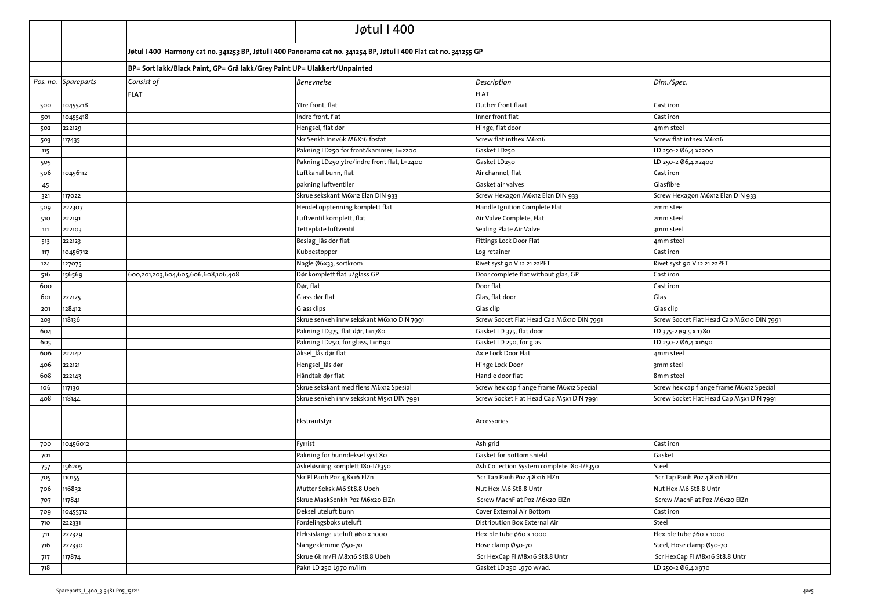|            |                     |                                                                                                                   | Jøtul I 400                                 |                                           |                                           |
|------------|---------------------|-------------------------------------------------------------------------------------------------------------------|---------------------------------------------|-------------------------------------------|-------------------------------------------|
|            |                     | Jøtul I 400 Harmony cat no. 341253 BP, Jøtul I 400 Panorama cat no. 341254 BP, Jøtul I 400 Flat cat no. 341255 GP |                                             |                                           |                                           |
|            |                     | BP= Sort lakk/Black Paint, GP= Grå lakk/Grey Paint UP= Ulakkert/Unpainted                                         |                                             |                                           |                                           |
|            | Pos. no. Spareparts | Consist of                                                                                                        | <b>Benevnelse</b>                           | Description                               | Dim./Spec.                                |
|            |                     | <b>FLAT</b>                                                                                                       |                                             | <b>FLAT</b>                               |                                           |
| 500        | 10455218            |                                                                                                                   | Ytre front, flat                            | Outher front flaat                        | Cast iron                                 |
| 501        | 10455418            |                                                                                                                   | Indre front, flat                           | Inner front flat                          | Cast iron                                 |
| 502        | 222129              |                                                                                                                   | Hengsel, flat dør                           | Hinge, flat door                          | 4mm steel                                 |
| 503        | 117435              |                                                                                                                   | Skr Senkh Innv6k M6X16 fosfat               | Screw flat inthex M6x16                   | Screw flat inthex M6x16                   |
| 115        |                     |                                                                                                                   | Pakning LD250 for front/kammer, L=2200      | Gasket LD250                              | LD 250-2 Ø6,4 x2200                       |
| 505        |                     |                                                                                                                   | Pakning LD250 ytre/indre front flat, L=2400 | Gasket LD250                              | LD 250-2 Ø6,4 x2400                       |
| 506        | 10456112            |                                                                                                                   | Luftkanal bunn, flat                        | Air channel, flat                         | Cast iron                                 |
| 45         |                     |                                                                                                                   | pakning luftventiler                        | Gasket air valves                         | Glasfibre                                 |
| 321        | 117022              |                                                                                                                   | Skrue sekskant M6x12 Elzn DIN 933           | Screw Hexagon M6x12 Elzn DIN 933          | Screw Hexagon M6x12 Elzn DIN 933          |
| 509        | 222307              |                                                                                                                   | Hendel opptenning komplett flat             | Handle Ignition Complete Flat             | 2mm steel                                 |
| 510        | 222191              |                                                                                                                   | Luftventil komplett, flat                   | Air Valve Complete, Flat                  | 2mm steel                                 |
| 111        | 222103              |                                                                                                                   | Tetteplate luftventil                       | Sealing Plate Air Valve                   | 3mm steel                                 |
| 513        | 222123              |                                                                                                                   | Beslag lås dør flat                         | Fittings Lock Door Flat                   | 4mm steel                                 |
| 117        | 10456712            |                                                                                                                   | Kubbestopper                                | Log retainer                              | Cast iron                                 |
| 124        | 127075              |                                                                                                                   | Nagle Ø6x33, sortkrom                       | Rivet syst 90 V 12 21 22PET               | Rivet syst 90 V 12 21 22PET               |
| 516        | 156569              | 600,201,203,604,605,606,608,106,408                                                                               | Dør komplett flat u/glass GP                | Door complete flat without glas, GP       | Cast iron                                 |
| 600        |                     |                                                                                                                   | Dør, flat                                   | Door flat                                 | Cast iron                                 |
| 601        | 222125              |                                                                                                                   | Glass dør flat                              | Glas, flat door                           | Glas                                      |
| 201        | 128412              |                                                                                                                   | Glassklips                                  | Glas clip                                 | Glas clip                                 |
| 203        | 118136              |                                                                                                                   | Skrue senkeh innv sekskant M6x10 DIN 7991   | Screw Socket Flat Head Cap M6x10 DIN 7991 | Screw Socket Flat Head Cap M6x10 DIN 7991 |
| 604        |                     |                                                                                                                   | Pakning LD375, flat dør, L=1780             | Gasket LD 375, flat door                  | LD 375-2 Ø9,5 X 1780                      |
| 605        |                     |                                                                                                                   | Pakning LD250, for glass, L=1690            | Gasket LD 250, for glas                   | LD 250-2 Ø6,4 x1690                       |
| 606        | 222142              |                                                                                                                   | Aksel lås dør flat                          | Axle Lock Door Flat                       | 4mm steel                                 |
| 406        | 222121              |                                                                                                                   | Hengsel lås dør                             | Hinge Lock Door                           | 3mm steel                                 |
| 608        | 222143              |                                                                                                                   | Håndtak dør flat                            | Handle door flat                          | 8mm steel                                 |
| 106        | 117130              |                                                                                                                   | Skrue sekskant med flens M6x12 Spesial      | Screw hex cap flange frame M6x12 Special  | Screw hex cap flange frame M6x12 Special  |
| 408        | 118144              |                                                                                                                   | Skrue senkeh innv sekskant M5x1 DIN 7991    | Screw Socket Flat Head Cap M5x1 DIN 7991  | Screw Socket Flat Head Cap M5x1 DIN 7991  |
|            |                     |                                                                                                                   |                                             |                                           |                                           |
|            |                     |                                                                                                                   | Ekstrautstyr                                | Accessories                               |                                           |
|            |                     |                                                                                                                   |                                             |                                           |                                           |
| 700        | 10456012            |                                                                                                                   | Fyrrist                                     | Ash grid                                  | Cast iron                                 |
| 701        |                     |                                                                                                                   | Pakning for bunndeksel syst 80              | Gasket for bottom shield                  | Gasket                                    |
| 757        | 156205              |                                                                                                                   | Askeløsning komplett I80-I/F350             | Ash Collection System complete I80-I/F350 | Steel                                     |
| 705        | 110155              |                                                                                                                   | Skr Pl Panh Poz 4,8x16 ElZn                 | Scr Tap Panh Poz 4.8x16 ElZn              | Scr Tap Panh Poz 4.8x16 ElZn              |
| 706        | 116832              |                                                                                                                   | Mutter Seksk M6 St8.8 Ubeh                  | Nut Hex M6 St8.8 Untr                     | Nut Hex M6 St8.8 Untr                     |
| 707        | 117841              |                                                                                                                   | Skrue MaskSenkh Poz M6x20 ElZn              | Screw MachFlat Poz M6x20 ElZn             | Screw MachFlat Poz M6x20 ElZn             |
| 709        | 10455712            |                                                                                                                   | Deksel uteluft bunn                         | Cover External Air Bottom                 | Cast iron                                 |
| 710        | 222331              |                                                                                                                   | Fordelingsboks uteluft                      | Distribution Box External Air             | Steel                                     |
| 711        | 222329              |                                                                                                                   | Fleksislange uteluft ø60 x 1000             | Flexible tube ø60 x 1000                  | Flexible tube ø60 x 1000                  |
| 716        | 222330              |                                                                                                                   | Slangeklemme Ø50-70                         | Hose clamp Ø50-70                         | Steel, Hose clamp Ø50-70                  |
|            | 117874              |                                                                                                                   | Skrue 6k m/Fl M8x16 St8.8 Ubeh              | Scr HexCap Fl M8x16 St8.8 Untr            | Scr HexCap Fl M8x16 St8.8 Untr            |
| 717<br>718 |                     |                                                                                                                   | Pakn LD 250 L970 m/lim                      | Gasket LD 250 L970 w/ad.                  | LD 250-2 Ø6,4 x970                        |
|            |                     |                                                                                                                   |                                             |                                           |                                           |